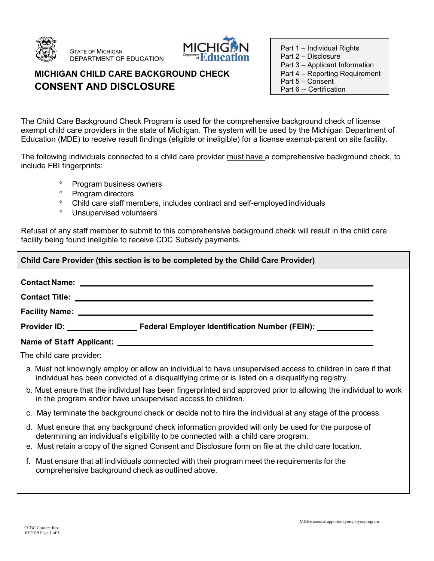

STATE OF MICHIGAN DEPARTMENT OF EDUCATION



## **MICHIGAN CHILD CARE BACKGROUND CHECK CONSENT AND DISCLOSURE**

Part 1 – Individual Rights

- Part 2 Disclosure
- Part 3 Applicant Information
- Part 4 Reporting Requirement
- Part 5 Consent Part 6 -- Certification

The Child Care Background Check Program is used for the comprehensive background check of license exempt child care providers in the state of Michigan. The system will be used by the Michigan Department of Education (MDE) to receive result findings (eligible or ineligible) for a license exempt-parent on site facility.

The following individuals connected to a child care provider must have a comprehensive background check, to include FBI fingerprints:

- <sup>o</sup> Program business owners
- <sup>o</sup> Program directors
- Child care staff members, includes contract and self-employed individuals
- Unsupervised volunteers

Refusal of any staff member to submit to this comprehensive background check will result in the child care facility being found ineligible to receive CDC Subsidy payments.

| Child Care Provider (this section is to be completed by the Child Care Provider)                                                                                                                                               |  |
|--------------------------------------------------------------------------------------------------------------------------------------------------------------------------------------------------------------------------------|--|
|                                                                                                                                                                                                                                |  |
|                                                                                                                                                                                                                                |  |
| Facility Name: Department of the Contract of the Contract of the Contract of the Contract of the Contract of the Contract of the Contract of the Contract of the Contract of the Contract of the Contract of the Contract of t |  |
| Provider ID: Federal Employer Identification Number (FEIN): Provider ID:                                                                                                                                                       |  |
|                                                                                                                                                                                                                                |  |
| The child care provider:                                                                                                                                                                                                       |  |
| a. Must not knowingly employ or allow an individual to have unsupervised access to children in care if that<br>individual has been convicted of a disqualifying crime or is listed on a disqualifying registry.                |  |
| b. Must ensure that the individual has been fingerprinted and approved prior to allowing the individual to work<br>in the program and/or have unsupervised access to children.                                                 |  |
| c. May terminate the background check or decide not to hire the individual at any stage of the process.                                                                                                                        |  |
| d. Must ensure that any background check information provided will only be used for the purpose of<br>determining an individual's eligibility to be connected with a child care program.                                       |  |
| e. Must retain a copy of the signed Consent and Disclosure form on file at the child care location.                                                                                                                            |  |
| f. Must ensure that all individuals connected with their program meet the requirements for the<br>comprehensive background check as outlined above.                                                                            |  |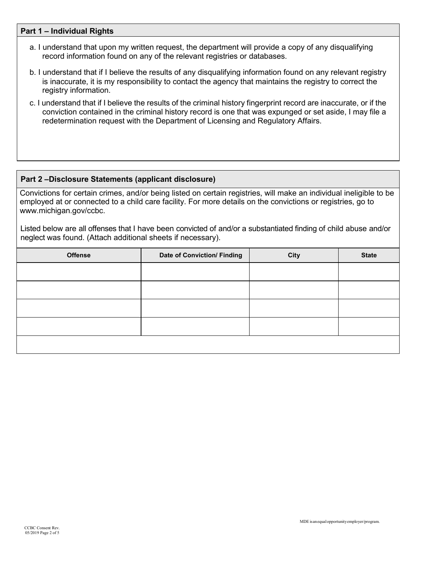#### **Part 1 – Individual Rights**

- a. I understand that upon my written request, the department will provide a copy of any disqualifying record information found on any of the relevant registries or databases.
- b. I understand that if I believe the results of any disqualifying information found on any relevant registry is inaccurate, it is my responsibility to contact the agency that maintains the registry to correct the registry information.
- c. I understand that if I believe the results of the criminal history fingerprint record are inaccurate, or if the conviction contained in the criminal history record is one that was expunged or set aside, I may file a redetermination request with the Department of Licensing and Regulatory Affairs.

#### **Part 2 –Disclosure Statements (applicant disclosure)**

Convictions for certain crimes, and/or being listed on certain registries, will make an individual ineligible to be employed at or connected to a child care facility. For more details on the convictions or registries, go t[o](http://www.michigan.gov/ccbc) [www.michigan.gov/ccbc.](http://www.michigan.gov/ccbc)

Listed below are all offenses that I have been convicted of and/or a substantiated finding of child abuse and/or neglect was found. (Attach additional sheets if necessary).

| <b>Offense</b> | <b>Date of Conviction/ Finding</b> | City | <b>State</b> |
|----------------|------------------------------------|------|--------------|
|                |                                    |      |              |
|                |                                    |      |              |
|                |                                    |      |              |
|                |                                    |      |              |
|                |                                    |      |              |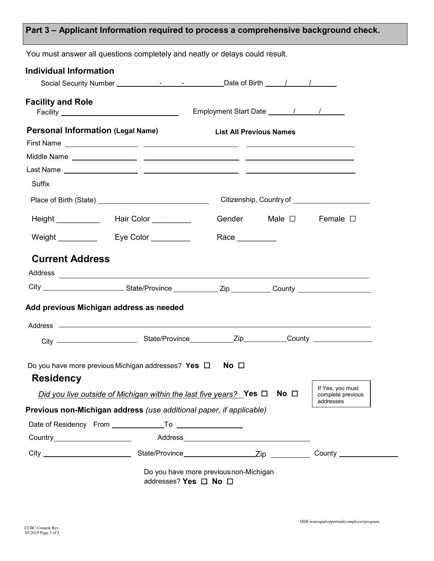## **Part 3 – Applicant Information required to process a comprehensive background check.**

| <b>Facility and Role</b>                 |                                                                                                                                                                                                                                      | Employment Start Date 11 / 1   |                 |                               |
|------------------------------------------|--------------------------------------------------------------------------------------------------------------------------------------------------------------------------------------------------------------------------------------|--------------------------------|-----------------|-------------------------------|
| <b>Personal Information (Legal Name)</b> |                                                                                                                                                                                                                                      | <b>List All Previous Names</b> |                 |                               |
|                                          |                                                                                                                                                                                                                                      |                                |                 |                               |
|                                          |                                                                                                                                                                                                                                      |                                |                 |                               |
| Suffix                                   |                                                                                                                                                                                                                                      |                                |                 |                               |
|                                          |                                                                                                                                                                                                                                      |                                |                 |                               |
|                                          | Height _____________  Hair Color __________                                                                                                                                                                                          |                                |                 | Gender Male □ Female □        |
|                                          | Weight <b>Eye Color</b>                                                                                                                                                                                                              | Race $\_\_$                    |                 |                               |
| <b>Current Address</b>                   |                                                                                                                                                                                                                                      |                                |                 |                               |
|                                          | Address <b>contract to the contract of the contract of the contract of the contract of the contract of the contract of the contract of the contract of the contract of the contract of the contract of the contract of the contr</b> |                                |                 |                               |
|                                          | City ___________________________State/Province ______________Zip ____________County ______________________                                                                                                                           |                                |                 |                               |
|                                          | Add previous Michigan address as needed                                                                                                                                                                                              |                                |                 |                               |
|                                          |                                                                                                                                                                                                                                      |                                |                 |                               |
|                                          |                                                                                                                                                                                                                                      |                                |                 |                               |
|                                          |                                                                                                                                                                                                                                      |                                |                 |                               |
| <b>Residency</b>                         | Do you have more previous Michigan addresses? Yes $\Box$                                                                                                                                                                             | No $\Box$                      |                 |                               |
|                                          | Did you live outside of Michigan within the last five years? Yes $\Box$                                                                                                                                                              |                                | No <sub>1</sub> | If Yes, you must<br>addresses |
|                                          | Previous non-Michigan address (use additional paper, if applicable)                                                                                                                                                                  |                                |                 | complete previous             |
|                                          |                                                                                                                                                                                                                                      |                                |                 |                               |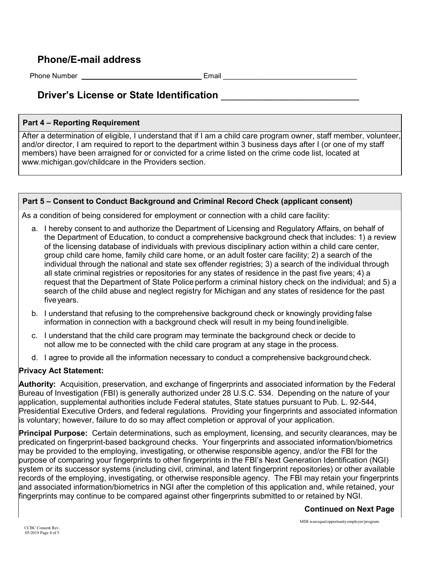### **Phone/E-mail address**

Phone Number **Email Email Email** 

## **Driver's License or State Identification** \_\_\_\_\_\_\_\_\_\_\_\_\_\_\_\_\_\_\_\_\_\_\_\_\_

#### **Part 4 – Reporting Requirement**

After a determination of eligible, I understand that if I am a child care program owner, staff member, volunteer, and/or director, I am required to report to the department within 3 business days after I (or one of my staff members) have been arraigned for or convicted for a crime listed on the crime code list, located at www.michigan.gov/childcare in the Providers section.

#### **Part 5 – Consent to Conduct Background and Criminal Record Check (applicant consent)**

As a condition of being considered for employment or connection with a child care facility:

- a. I hereby consent to and authorize the Department of Licensing and Regulatory Affairs, on behalf of the Department of Education, to conduct a comprehensive background check that includes: 1) a review of the licensing database of individuals with previous disciplinary action within a child care center, group child care home, family child care home, or an adult foster care facility; 2) a search of the individual through the national and state sex offender registries; 3) a search of the individual through all state criminal registries or repositories for any states of residence in the past five years; 4) a request that the Department of State Police perform a criminal history check on the individual; and 5) a search of the child abuse and neglect registry for Michigan and any states of residence for the past five years.
- b. I understand that refusing to the comprehensive background check or knowingly providing false information in connection with a background check will result in my being foundineligible.
- c. I understand that the child care program may terminate the background check or decide to not allow me to be connected with the child care program at any stage in the process.
- d. I agree to provide all the information necessary to conduct a comprehensive backgroundcheck.

#### **Privacy Act Statement:**

**Authority:** Acquisition, preservation, and exchange of fingerprints and associated information by the Federal Bureau of Investigation (FBI) is generally authorized under 28 U.S.C. 534. Depending on the nature of your application, supplemental authorities include Federal statutes, State statues pursuant to Pub. L. 92-544, Presidential Executive Orders, and federal regulations. Providing your fingerprints and associated information is voluntary; however, failure to do so may affect completion or approval of your application.

**Principal Purpose:** Certain determinations, such as employment, licensing, and security clearances, may be predicated on fingerprint-based background checks. Your fingerprints and associated information/biometrics may be provided to the employing, investigating, or otherwise responsible agency, and/or the FBI for the purpose of comparing your fingerprints to other fingerprints in the FBI's Next Generation Identification (NGI) system or its successor systems (including civil, criminal, and latent fingerprint repositories) or other available records of the employing, investigating, or otherwise responsible agency. The FBI may retain your fingerprints and associated information/biometrics in NGI after the completion of this application and, while retained, your fingerprints may continue to be compared against other fingerprints submitted to or retained by NGI.

#### **Continued on Next Page**

MDEisanequalopportunityemployer/program.